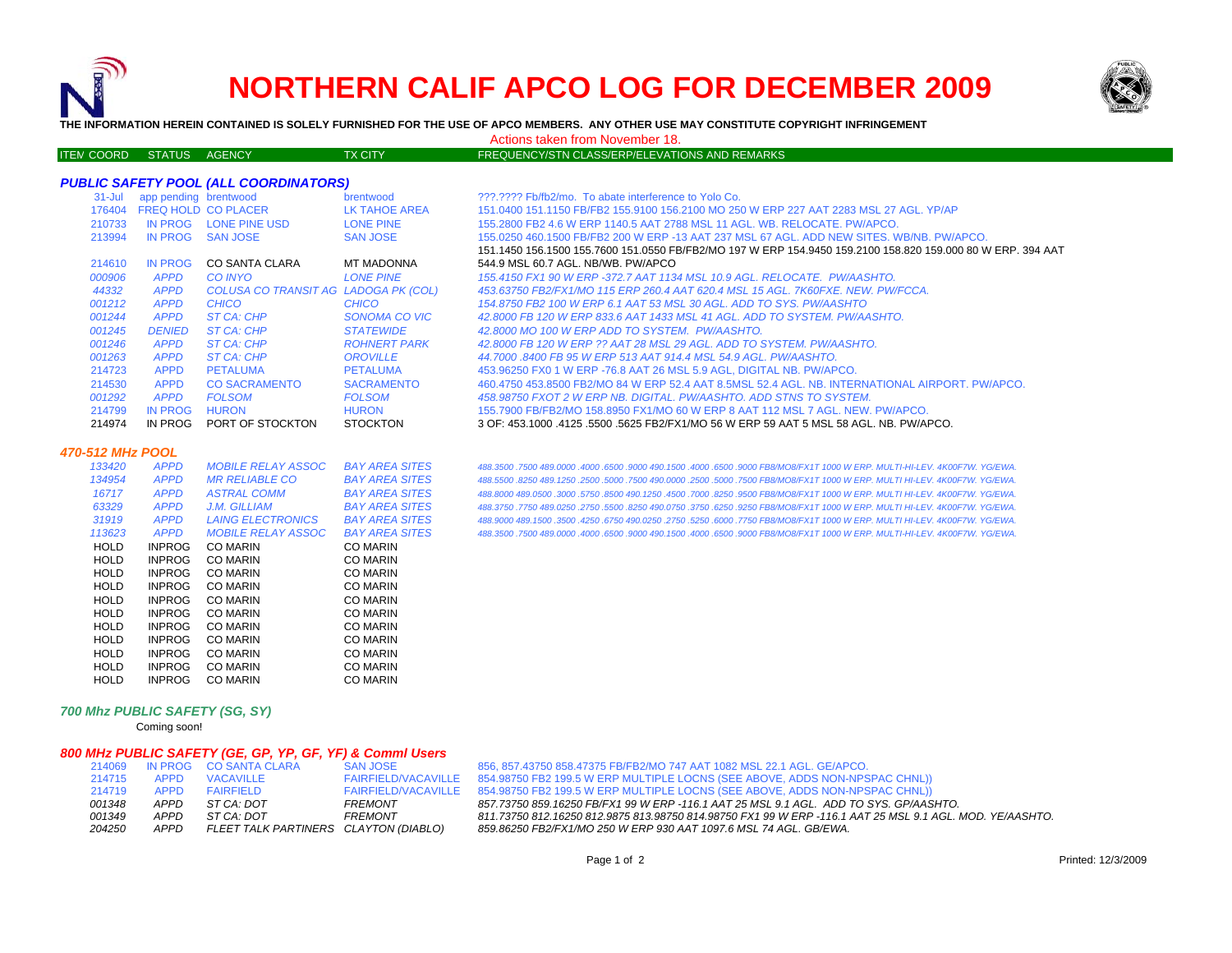

ITEM

# **NORTHERN CALIF APCO LOG FOR DECEMBER 2009**



**THE INFORMATION HEREIN CONTAINED IS SOLELY FURNISHED FOR THE USE OF APCO MEMBERS. ANY OTHER USE MAY CONSTITUTE COPYRIGHT INFRINGEMENT**

Actions taken from November 18.

## TX CITY FREQUENCY/STN CLASS/ERP/ELEVATIONS AND REMARKS

#### *PUBLIC SAFETY POOL (ALL COORDINATORS)*

| $31 -$ Jul    | app pending brentwood      |                                      | brentwood           | ???.???? Fb/fb2/mo. To abate interference to Yolo Co.                                                       |
|---------------|----------------------------|--------------------------------------|---------------------|-------------------------------------------------------------------------------------------------------------|
| 176404        | <b>FREQ HOLD CO PLACER</b> |                                      | LK TAHOE AREA       | 151.0400 151.1150 FB/FB2 155.9100 156.2100 MO 250 W ERP 227 AAT 2283 MSL 27 AGL. YP/AP                      |
| 210733        | IN PROG                    | LONE PINE USD                        | LONE PINE           | 155,2800 FB2 4.6 W ERP 1140.5 AAT 2788 MSL 11 AGL, WB, RELOCATE, PW/APCO,                                   |
| 213994        | IN PROG                    | <b>SAN JOSE</b>                      | <b>SAN JOSE</b>     | 155,0250 460,1500 FB/FB2 200 W ERP -13 AAT 237 MSL 67 AGL. ADD NEW SITES, WB/NB, PW/APCO,                   |
|               |                            |                                      |                     | 151.1450 156.1500 155.7600 151.0550 FB/FB2/MO 197 W ERP 154.9450 159.2100 158.820 159.000 80 W ERP. 394 AAT |
| 214610        | IN PROG                    | <b>CO SANTA CLARA</b>                | <b>MT MADONNA</b>   | 544.9 MSL 60.7 AGL, NB/WB, PW/APCO                                                                          |
| <i>000906</i> | <b>APPD</b>                | CO INYO                              | <b>LONE PINE</b>    | 155.4150 FX1 90 W ERP -372.7 AAT 1134 MSL 10.9 AGL. RELOCATE. PW/AASHTO.                                    |
| 44332         | <b>APPD</b>                | COLUSA CO TRANSIT AG LADOGA PK (COL) |                     | 453.63750 FB2/FX1/MO 115 ERP 260.4 AAT 620.4 MSL 15 AGL, 7K60FXE, NEW, PW/FCCA,                             |
| 001212        | <b>APPD</b>                | CHICO                                | CHICO               | 154,8750 FB2 100 W ERP 6.1 AAT 53 MSL 30 AGL. ADD TO SYS. PW/AASHTO                                         |
| 001244        | <b>APPD</b>                | ST CA: CHP                           | SONOMA CO VIC       | 42.8000 FB 120 W ERP 833.6 AAT 1433 MSL 41 AGL. ADD TO SYSTEM. PW/AASHTO.                                   |
| 001245        | <b>DENIED</b>              | ST CA: CHP                           | <b>STATEWIDE</b>    | 42,8000 MO 100 W ERP ADD TO SYSTEM. PW/AASHTO.                                                              |
| 001246        | <b>APPD</b>                | ST CA: CHP                           | <b>ROHNERT PARK</b> | 42.8000 FB 120 W ERP ?? AAT 28 MSL 29 AGL. ADD TO SYSTEM. PW/AASHTO.                                        |
| <i>001263</i> | <b>APPD</b>                | ST CA: CHP                           | OROVILLE            | 44.7000 .8400 FB 95 W ERP 513 AAT 914.4 MSL 54.9 AGL. PW/AASHTO.                                            |
| 214723        | <b>APPD</b>                | <b>PETALUMA</b>                      | PETALUMA            | 453,96250 FX0 1 W ERP -76.8 AAT 26 MSL 5.9 AGL. DIGITAL NB. PW/APCO.                                        |
| 214530        | <b>APPD</b>                | CO SACRAMENTO                        | <b>SACRAMENTO</b>   | 460.4750 453.8500 FB2/MO 84 W ERP 52.4 AAT 8.5MSL 52.4 AGL. NB. INTERNATIONAL AIRPORT. PW/APCO.             |
| <i>001292</i> | <b>APPD</b>                | <b>FOLSOM</b>                        | <b>FOLSOM</b>       | 458.98750 FXOT 2 W ERP NB. DIGITAL. PW/AASHTO. ADD STNS TO SYSTEM.                                          |
| 214799        | IN PROG                    | <b>HURON</b>                         | <b>HURON</b>        | 155.7900 FB/FB2/MO 158.8950 FX1/MO 60 W ERP 8 AAT 112 MSL 7 AGL. NEW. PW/APCO.                              |
| 214974        | IN PROG                    | PORT OF STOCKTON                     | <b>STOCKTON</b>     | 3 OF: 453.1000 .4125 .5500 .5625 FB2/FX1/MO 56 W ERP 59 AAT 5 MSL 58 AGL. NB. PW/APCO.                      |

#### *470-512 MHz POOL*

| 133420      | <b>APPD</b>   | <i>MOBILE RELAY ASSOC</i> | <b>BAY AREA SITES</b> |
|-------------|---------------|---------------------------|-----------------------|
| 134954      | <b>APPD</b>   | <b>MR RELIABLE CO</b>     | <b>BAY AREA SITES</b> |
| 16717       | <b>APPD</b>   | <b>ASTRAL COMM</b>        | <b>BAY AREA SITES</b> |
| 63329       | <b>APPD</b>   | J.M. GILLIAM              | <b>BAY AREA SITES</b> |
| 31919       | <b>APPD</b>   | <b>LAING ELECTRONICS</b>  | <b>BAY AREA SITES</b> |
| 113623      | <b>APPD</b>   | <b>MOBILE RELAY ASSOC</b> | <b>BAY AREA SITES</b> |
| HOLD        | <b>INPROG</b> | CO MARIN                  | CO MARIN              |
| HOLD        | <b>INPROG</b> | <b>CO MARIN</b>           | <b>CO MARIN</b>       |
| <b>HOLD</b> | <b>INPROG</b> | CO MARIN                  | CO MARIN              |
| HOLD        | <b>INPROG</b> | <b>CO MARIN</b>           | <b>CO MARIN</b>       |
| HOLD        | <b>INPROG</b> | CO MARIN                  | CO MARIN              |
| HOLD        | <b>INPROG</b> | CO MARIN                  | CO MARIN              |
| HOLD        | <b>INPROG</b> | <b>CO MARIN</b>           | <b>CO MARIN</b>       |
| HOLD        | <b>INPROG</b> | <b>CO MARIN</b>           | <b>CO MARIN</b>       |
| HOLD        | <b>INPROG</b> | <b>CO MARIN</b>           | <b>CO MARIN</b>       |
| HOLD        | <b>INPROG</b> | CO MARIN                  | CO MARIN              |
| HOLD        | <b>INPROG</b> | CO MARIN                  | CO MARIN              |

 *488.3500 .7500 489.0000 .4000 .6500 .9000 490.1500 .4000 .6500 .9000 FB8/MO8/FX1T 1000 W ERP. MULTI-HI-LEV. 4K00F7W. YG/EWA. 488.5500 .8250 489.1250 .2500 .5000 .7500 490.0000 .2500 .5000 .7500 FB8/MO8/FX1T 1000 W ERP. MULTI HI-LEV. 4K00F7W. YG/EWA. 488.8000 489.0500 .3000 .5750 .8500 490.1250 .4500 .7000 .8250 .9500 FB8/MO8/FX1T 1000 W ERP. MULTI HI-LEV. 4K00F7W. YG/EWA. 488.3750 .7750 489.0250 .2750 .5500 .8250 490.0750 .3750 .6250 .9250 FB8/MO8/FX1T 1000 W ERP. MULTI HI-LEV. 4K00F7W. YG/EWA. 488.9000 489.1500 .3500 .4250 .6750 490.0250 .2750 .5250 .6000 .7750 FB8/MO8/FX1T 1000 W ERP. MULTI HI-LEV. 4K00F7W. YG/EWA. 488.3500 .7500 489.0000 .4000 .6500 .9000 490.1500 .4000 .6500 .9000 FB8/MO8/FX1T 1000 W ERP. MULTI-HI-LEV. 4K00F7W. YG/EWA.*

#### *700 Mhz PUBLIC SAFETY (SG, SY)*

Coming soon!

#### *800 MHz PUBLIC SAFETY (GE, GP, YP, GF, YF) & Comml Users*

| 214069 |             | IN PROG CO SANTA CLARA                | <b>SAN JOSE</b>            |
|--------|-------------|---------------------------------------|----------------------------|
| 214715 | <b>APPD</b> | <b>VACAVILLE</b>                      | <b>FAIRFIELD/VACAVILLE</b> |
| 214719 | APPD.       | <b>FAIRFIFI D</b>                     | <b>FAIRFIELD/VACAVILLE</b> |
| 001348 | APPD.       | ST CA: DOT                            | <b>FREMONT</b>             |
| 001349 | APPD.       | ST CA: DOT                            | <b>FREMONT</b>             |
| 204250 | APPD.       | FLEET TALK PARTINERS CLAYTON (DIABLO) |                            |

856, 857,43750 858,47375 FB/FB2/MO 747 AAT 1082 MSL 22.1 AGL. GE/APCO. 854.98750 FB2 199.5 W ERP MULTIPLE LOCNS (SEE ABOVE, ADDS NON-NPSPAC CHNL)) 854.98750 FB2 199.5 W ERP MULTIPLE LOCNS (SEE ABOVE, ADDS NON-NPSPAC CHNL)) *FREMONT 857.73750 859.16250 FB/FX1 99 W ERP -116.1 AAT 25 MSL 9.1 AGL. ADD TO SYS. GP/AASHTO. FREMONT 811.73750 812.16250 812.9875 813.98750 814.98750 FX1 99 W ERP -116.1 AAT 25 MSL 9.1 AGL. MOD. YE/AASHTO. APPD FLEET TALK PARTINERS CLAYTON (DIABLO) 859.86250 FB2/FX1/MO 250 W ERP 930 AAT 1097.6 MSL 74 AGL. GB/EWA.*